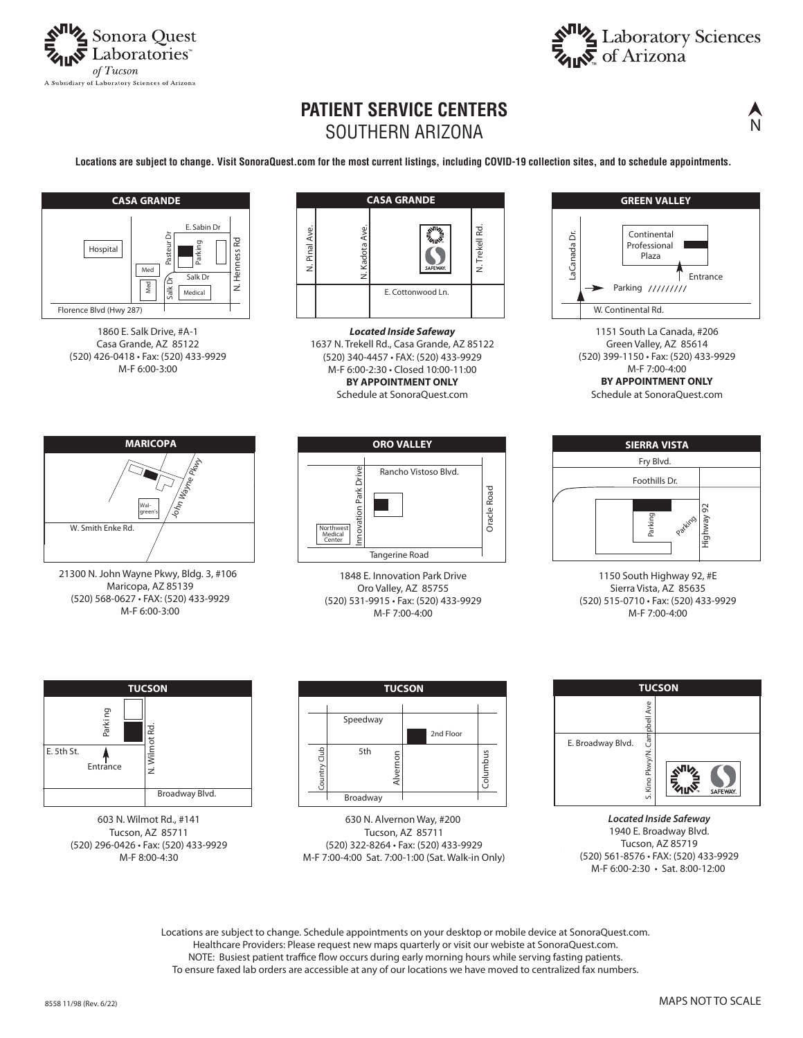



## **PATIENT SERVICE CENTERS** SOUTHERN ARIZONA

**Locations are subject to change. Visit SonoraQuest.com for the most current listings, including COVID-19 collection sites, and to schedule appointments.**







*Located Inside Safeway* 1637 N. Trekell Rd., Casa Grande, AZ 85122 (520) 340-4457 • FAX: (520) 433-9929 M-F 6:00-2:30 • Closed 10:00-11:00 **BY APPOINTMENT ONLY**

Schedule at SonoraQuest.com



21300 N. John Wayne Pkwy, Bldg. 3, #106 Maricopa, AZ 85139 (520) 568-0627 • FAX: (520) 433-9929 M-F 6:00-3:00



1848 E. Innovation Park Drive Oro Valley, AZ 85755 (520) 531-9915 • Fax: (520) 433-9929 M-F 7:00-4:00











603 N. Wilmot Rd., #141 Tucson, AZ 85711 (520) 296-0426 • Fax: (520) 433-9929 M-F 8:00-4:30



630 N. Alvernon Way, #200 Tucson, AZ 85711 (520) 322-8264 • Fax: (520) 433-9929 M-F 7:00-4:00 Sat. 7:00-1:00 (Sat. Walk-in Only)



*Located Inside Safeway* 1940 E. Broadway Blvd. Tucson, AZ 85719 (520) 561-8576 • FAX: (520) 433-9929 M-F 6:00-2:30 • Sat. 8:00-12:00

Locations are subject to change. Schedule appointments on your desktop or mobile device at SonoraQuest.com. Healthcare Providers: Please request new maps quarterly or visit our webiste at SonoraQuest.com. NOTE: Busiest patient traffice flow occurs during early morning hours while serving fasting patients. To ensure faxed lab orders are accessible at any of our locations we have moved to centralized fax numbers.